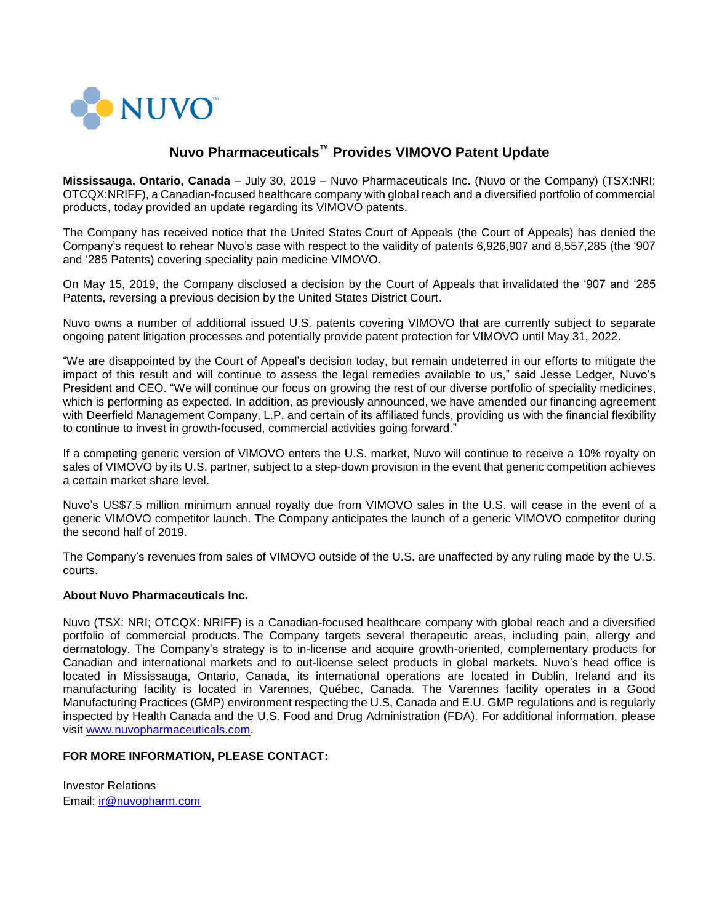

## **Nuvo Pharmaceuticals™ Provides VIMOVO Patent Update**

**Mississauga, Ontario, Canada** – July 30, 2019 – Nuvo Pharmaceuticals Inc. (Nuvo or the Company) (TSX:NRI; OTCQX:NRIFF), a Canadian-focused healthcare company with global reach and a diversified portfolio of commercial products, today provided an update regarding its VIMOVO patents.

The Company has received notice that the United States Court of Appeals (the Court of Appeals) has denied the Company's request to rehear Nuvo's case with respect to the validity of patents 6,926,907 and 8,557,285 (the '907 and '285 Patents) covering speciality pain medicine VIMOVO.

On May 15, 2019, the Company disclosed a decision by the Court of Appeals that invalidated the '907 and '285 Patents, reversing a previous decision by the United States District Court.

Nuvo owns a number of additional issued U.S. patents covering VIMOVO that are currently subject to separate ongoing patent litigation processes and potentially provide patent protection for VIMOVO until May 31, 2022.

"We are disappointed by the Court of Appeal's decision today, but remain undeterred in our efforts to mitigate the impact of this result and will continue to assess the legal remedies available to us," said Jesse Ledger, Nuvo's President and CEO. "We will continue our focus on growing the rest of our diverse portfolio of speciality medicines, which is performing as expected. In addition, as previously announced, we have amended our financing agreement with Deerfield Management Company, L.P. and certain of its affiliated funds, providing us with the financial flexibility to continue to invest in growth-focused, commercial activities going forward."

If a competing generic version of VIMOVO enters the U.S. market, Nuvo will continue to receive a 10% royalty on sales of VIMOVO by its U.S. partner, subject to a step-down provision in the event that generic competition achieves a certain market share level.

Nuvo's US\$7.5 million minimum annual royalty due from VIMOVO sales in the U.S. will cease in the event of a generic VIMOVO competitor launch. The Company anticipates the launch of a generic VIMOVO competitor during the second half of 2019.

The Company's revenues from sales of VIMOVO outside of the U.S. are unaffected by any ruling made by the U.S. courts.

## **About Nuvo Pharmaceuticals Inc.**

Nuvo (TSX: NRI; OTCQX: NRIFF) is a Canadian-focused healthcare company with global reach and a diversified portfolio of commercial products. The Company targets several therapeutic areas, including pain, allergy and dermatology. The Company's strategy is to in-license and acquire growth-oriented, complementary products for Canadian and international markets and to out-license select products in global markets. Nuvo's head office is located in Mississauga, Ontario, Canada, its international operations are located in Dublin, Ireland and its manufacturing facility is located in Varennes, Québec, Canada. The Varennes facility operates in a Good Manufacturing Practices (GMP) environment respecting the U.S, Canada and E.U. GMP regulations and is regularly inspected by Health Canada and the U.S. Food and Drug Administration (FDA). For additional information, please visit [www.nuvopharmaceuticals.com.](http://www.nuvopharmaceuticals.com/)

## **FOR MORE INFORMATION, PLEASE CONTACT:**

Investor Relations Email: [ir@nuvopharm.com](mailto:ir@nuvopharm.com)